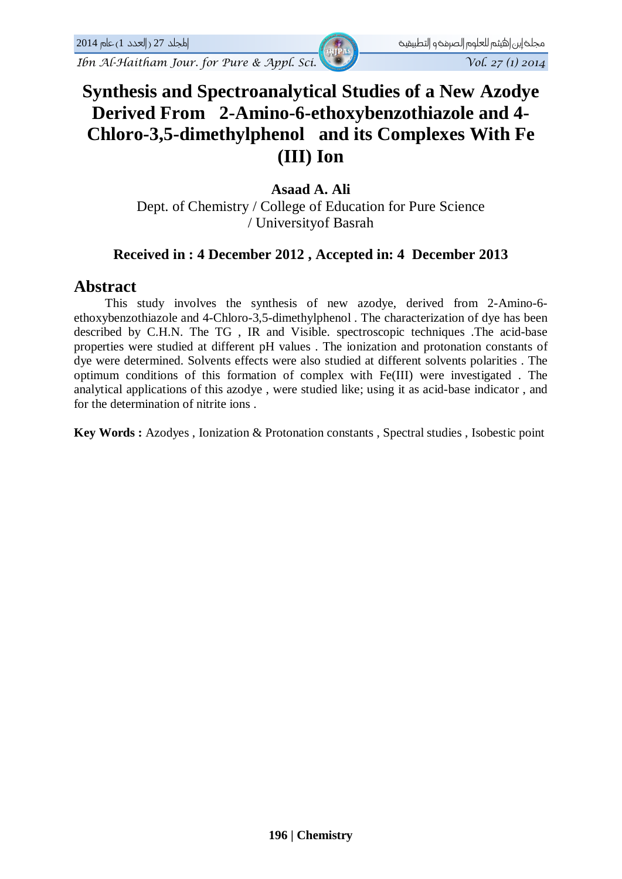# **Synthesis and Spectroanalytical Studies of a New Azodye Derived From 2-Amino-6-ethoxybenzothiazole and 4- Chloro-3,5-dimethylphenol and its Complexes With Fe (III) Ion**

## **Asaad A. Ali**

Dept. of Chemistry / College of Education for Pure Science / Universityof Basrah

## **Received in : 4 December 2012 , Accepted in: 4 December 2013**

## **Abstract**

This study involves the synthesis of new azodye, derived from 2-Amino-6 ethoxybenzothiazole and 4-Chloro-3,5-dimethylphenol . The characterization of dye has been described by C.H.N. The TG , IR and Visible. spectroscopic techniques .The acid-base properties were studied at different pH values . The ionization and protonation constants of dye were determined. Solvents effects were also studied at different solvents polarities . The optimum conditions of this formation of complex with Fe(III) were investigated . The analytical applications of this azodye , were studied like; using it as acid-base indicator , and for the determination of nitrite ions .

**Key Words :** Azodyes , Ionization & Protonation constants , Spectral studies , Isobestic point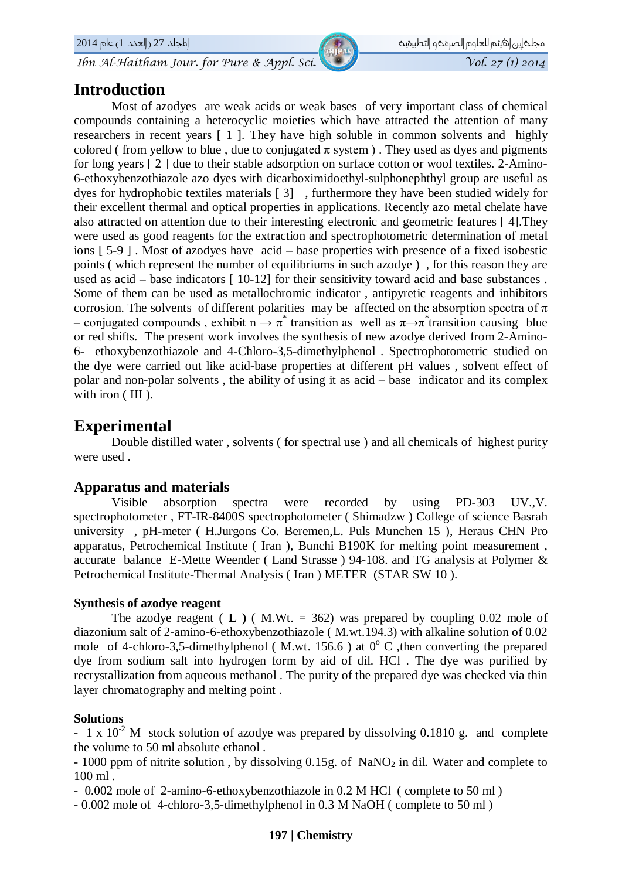## **Introduction**

مجلخ إبن|هيثم للعلوم الصرمخو التطبيقيخ للصوص المصور المجلد 27 (العدد 1) عام 2014 2014

Most of azodyes are weak acids or weak bases of very important class of chemical compounds containing a heterocyclic moieties which have attracted the attention of many researchers in recent years [ 1 ]. They have high soluble in common solvents and highly colored ( from yellow to blue, due to conjugated  $\pi$  system). They used as dyes and pigments for long years [ 2 ] due to their stable adsorption on surface cotton or wool textiles. 2-Amino-6-ethoxybenzothiazole azo dyes with dicarboximidoethyl-sulphonephthyl group are useful as dyes for hydrophobic textiles materials [ 3] , furthermore they have been studied widely for their excellent thermal and optical properties in applications. Recently azo metal chelate have also attracted on attention due to their interesting electronic and geometric features [ 4].They were used as good reagents for the extraction and spectrophotometric determination of metal ions [ 5-9 ] . Most of azodyes have acid – base properties with presence of a fixed isobestic points ( which represent the number of equilibriums in such azodye ) , for this reason they are used as acid – base indicators [ 10-12] for their sensitivity toward acid and base substances. Some of them can be used as metallochromic indicator , antipyretic reagents and inhibitors corrosion. The solvents of different polarities may be affected on the absorption spectra of  $\pi$ – conjugated compounds, exhibit  $n \to \pi^*$  transition as well as  $\pi \to \pi^*$  transition causing blue or red shifts. The present work involves the synthesis of new azodye derived from 2-Amino-6- ethoxybenzothiazole and 4-Chloro-3,5-dimethylphenol . Spectrophotometric studied on the dye were carried out like acid-base properties at different pH values , solvent effect of polar and non-polar solvents , the ability of using it as acid – base indicator and its complex with iron (III).

## **Experimental**

Double distilled water , solvents ( for spectral use ) and all chemicals of highest purity were used .

### **Apparatus and materials**

Visible absorption spectra were recorded by using PD-303 UV.,V. spectrophotometer , FT-IR-8400S spectrophotometer ( Shimadzw ) College of science Basrah university , pH-meter ( H.Jurgons Co. Beremen,L. Puls Munchen 15 ), Heraus CHN Pro apparatus, Petrochemical Institute ( Iran ), Bunchi B190K for melting point measurement , accurate balance E-Mette Weender ( Land Strasse ) 94-108. and TG analysis at Polymer & Petrochemical Institute-Thermal Analysis ( Iran ) METER (STAR SW 10 ).

#### **Synthesis of azodye reagent**

The azodye reagent  $(L)$  (M.Wt. = 362) was prepared by coupling 0.02 mole of diazonium salt of 2-amino-6-ethoxybenzothiazole ( M.wt.194.3) with alkaline solution of 0.02 mole of 4-chloro-3,5-dimethylphenol (M.wt. 156.6) at  $0^{\circ}$  C , then converting the prepared dye from sodium salt into hydrogen form by aid of dil. HCl . The dye was purified by recrystallization from aqueous methanol . The purity of the prepared dye was checked via thin layer chromatography and melting point .

#### **Solutions**

- 1 x  $10^{-2}$  M stock solution of azodye was prepared by dissolving 0.1810 g. and complete the volume to 50 ml absolute ethanol .

 $-1000$  ppm of nitrite solution, by dissolving 0.15g. of NaNO<sub>2</sub> in dil. Water and complete to 100 ml .

- 0.002 mole of 2-amino-6-ethoxybenzothiazole in 0.2 M HCl ( complete to 50 ml )

- 0.002 mole of 4-chloro-3,5-dimethylphenol in 0.3 M NaOH ( complete to 50 ml )

#### **197 | Chemistry**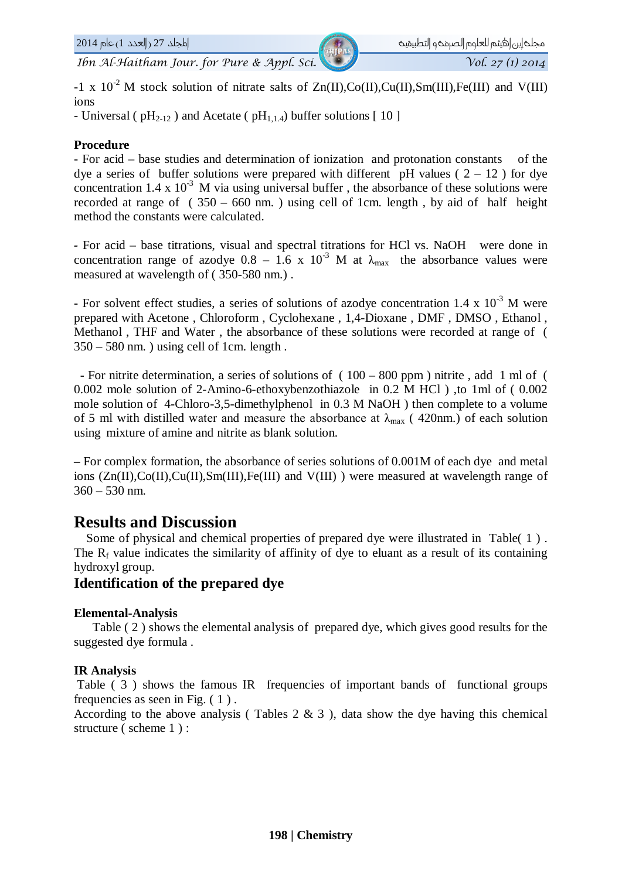$-1 \times 10^{-2}$  M stock solution of nitrate salts of Zn(II),Co(II),Cu(II),Sm(III),Fe(III) and V(III) ions

- Universal ( $pH_{2-12}$ ) and Acetate ( $pH_{1,1.4}$ ) buffer solutions [10]

#### **Procedure**

- For acid – base studies and determination of ionization and protonation constants of the dye a series of buffer solutions were prepared with different pH values ( $2 - 12$ ) for dye concentration 1.4 x  $10^{-3}$  M via using universal buffer, the absorbance of these solutions were recorded at range of  $(350 - 660)$  nm.) using cell of 1cm. length, by aid of half height method the constants were calculated.

*-* For acid – base titrations, visual and spectral titrations for HCl vs. NaOH were done in concentration range of azodye  $0.8 - 1.6 \times 10^{-3}$  M at  $\lambda_{\text{max}}$  the absorbance values were measured at wavelength of ( 350-580 nm.) .

**-** For solvent effect studies, a series of solutions of azodye concentration 1.4 x 10<sup>-3</sup> M were prepared with Acetone , Chloroform , Cyclohexane , 1,4-Dioxane , DMF , DMSO , Ethanol , Methanol , THF and Water , the absorbance of these solutions were recorded at range of (  $350 - 580$  nm.) using cell of 1cm. length.

**-** For nitrite determination, a series of solutions of ( 100 – 800 ppm ) nitrite , add 1 ml of ( 0.002 mole solution of 2-Amino-6-ethoxybenzothiazole in 0.2 M HCl ) ,to 1ml of ( 0.002 mole solution of 4-Chloro-3,5-dimethylphenol in 0.3 M NaOH ) then complete to a volume of 5 ml with distilled water and measure the absorbance at  $\lambda_{\text{max}}$  (420nm.) of each solution using mixture of amine and nitrite as blank solution.

**–** For complex formation*,* the absorbance of series solutions of 0.001M of each dye and metal ions (Zn(II),Co(II),Cu(II),Sm(III),Fe(III) and V(III) ) were measured at wavelength range of  $360 - 530$  nm.

## **Results and Discussion**

 Some of physical and chemical properties of prepared dye were illustrated in Table( 1 ) . The  $R_f$  value indicates the similarity of affinity of dye to eluant as a result of its containing hydroxyl group.

## **Identification of the prepared dye**

#### **Elemental-Analysis**

 Table ( 2 ) shows the elemental analysis of prepared dye, which gives good results for the suggested dye formula .

#### **IR Analysis**

Table ( 3 ) shows the famous IR frequencies of important bands of functional groups frequencies as seen in Fig. ( 1 ) .

According to the above analysis (Tables  $2 \& 3$ ), data show the dye having this chemical structure (scheme 1):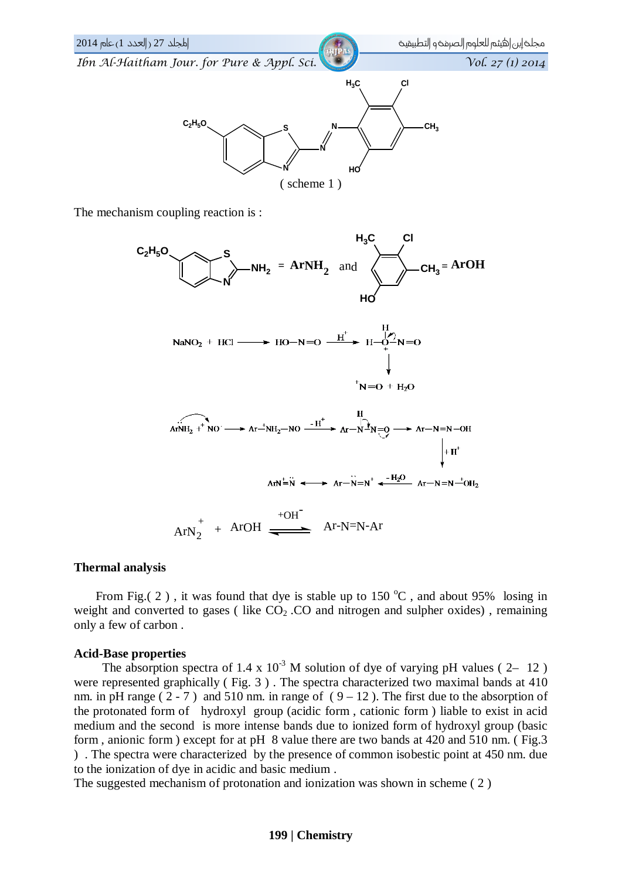

The mechanism coupling reaction is :



#### **Thermal analysis**

From Fig.( 2), it was found that dye is stable up to  $150\,^{\circ}\text{C}$ , and about 95% losing in weight and converted to gases (like  $CO<sub>2</sub>$ .CO and nitrogen and sulpher oxides), remaining only a few of carbon .

#### **Acid-Base properties**

The absorption spectra of 1.4 x  $10^{-3}$  M solution of dye of varying pH values (2– 12) were represented graphically ( Fig. 3 ) . The spectra characterized two maximal bands at 410 nm. in pH range ( $2 - 7$ ) and 510 nm. in range of ( $9 - 12$ ). The first due to the absorption of the protonated form of hydroxyl group (acidic form , cationic form ) liable to exist in acid medium and the second is more intense bands due to ionized form of hydroxyl group (basic form , anionic form ) except for at pH 8 value there are two bands at 420 and 510 nm. ( Fig.3 ) . The spectra were characterized by the presence of common isobestic point at 450 nm. due to the ionization of dye in acidic and basic medium .

The suggested mechanism of protonation and ionization was shown in scheme ( 2 )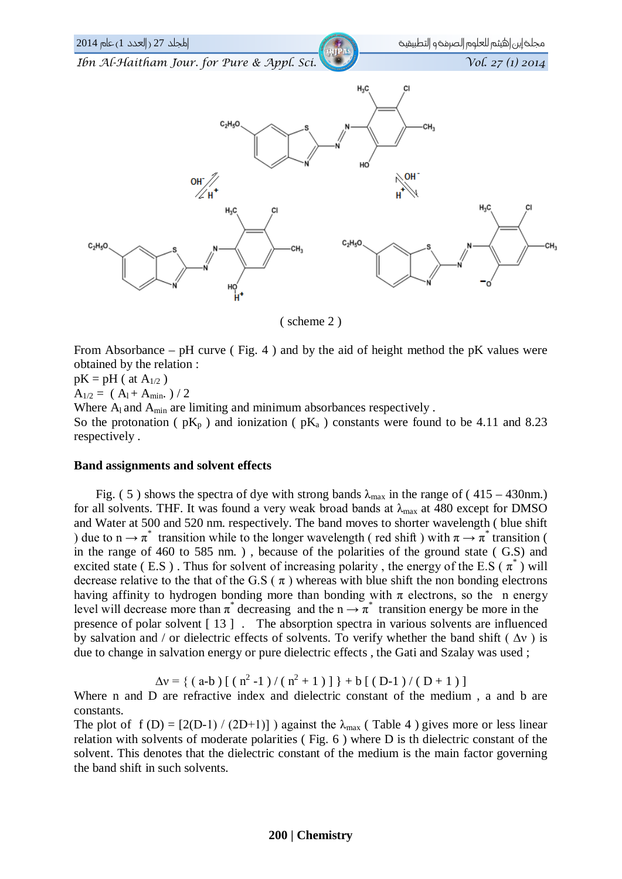

( scheme 2 )

From Absorbance – pH curve ( Fig. 4 ) and by the aid of height method the pK values were obtained by the relation :

 $pK = pH (at A<sub>1/2</sub>)$  $A_{1/2} = (A_1 + A_{min.}) / 2$ Where  $A<sub>l</sub>$  and  $A<sub>min</sub>$  are limiting and minimum absorbances respectively. So the protonation (  $pK_p$  ) and ionization (  $pK_a$  ) constants were found to be 4.11 and 8.23 respectively .

#### **Band assignments and solvent effects**

Fig. (5) shows the spectra of dye with strong bands  $\lambda_{\text{max}}$  in the range of (415 – 430nm.) for all solvents. THF. It was found a very weak broad bands at  $\lambda_{\text{max}}$  at 480 except for DMSO and Water at 500 and 520 nm. respectively. The band moves to shorter wavelength ( blue shift ) due to  $n \to \pi^*$  transition while to the longer wavelength (red shift) with  $\pi \to \pi^*$  transition ( in the range of 460 to 585 nm. ) , because of the polarities of the ground state ( G.S) and excited state (E.S). Thus for solvent of increasing polarity, the energy of the E.S ( $\pi^*$ ) will decrease relative to the that of the G.S ( $\pi$ ) whereas with blue shift the non bonding electrons having affinity to hydrogen bonding more than bonding with  $\pi$  electrons, so the n energy level will decrease more than  $\pi^*$  decreasing and the  $n \rightarrow \pi^*$  transition energy be more in the presence of polar solvent  $\lceil 13 \rceil$ . The absorption spectra in various solvents are influenced by salvation and / or dielectric effects of solvents. To verify whether the band shift ( $\Delta v$ ) is due to change in salvation energy or pure dielectric effects , the Gati and Szalay was used ;

$$
\Delta v = \{ (a-b) [ (n^2 - 1) / (n^2 + 1) ] \} + b [ (D-1) / (D + 1) ]
$$

Where n and D are refractive index and dielectric constant of the medium, a and b are constants.

The plot of f (D) =  $[2(D-1)/(2D+1)]$  ) against the  $\lambda_{\text{max}}$  (Table 4) gives more or less linear relation with solvents of moderate polarities ( Fig. 6 ) where D is th dielectric constant of the solvent. This denotes that the dielectric constant of the medium is the main factor governing the band shift in such solvents.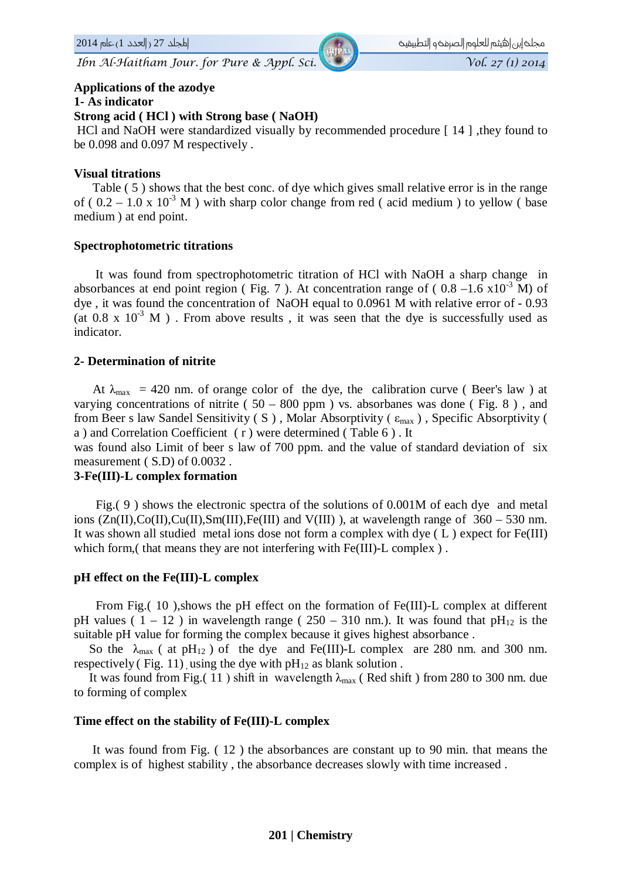#### **Applications of the azodye**

#### **1- As indicator**

#### **Strong acid ( HCl ) with Strong base ( NaOH)**

HCl and NaOH were standardized visually by recommended procedure [ 14 ] ,they found to be 0.098 and 0.097 M respectively .

#### **Visual titrations**

 Table ( 5 ) shows that the best conc. of dye which gives small relative error is in the range of (  $0.2 - 1.0 \times 10^{-3}$  M ) with sharp color change from red ( acid medium ) to yellow ( base medium ) at end point.

#### **Spectrophotometric titrations**

 It was found from spectrophotometric titration of HCl with NaOH a sharp change in absorbances at end point region (Fig. 7). At concentration range of ( $0.8 - 1.6 \times 10^{-3}$  M) of dye , it was found the concentration of NaOH equal to 0.0961 M with relative error of - 0.93 (at 0.8 x  $10^{-3}$  M). From above results, it was seen that the dye is successfully used as indicator.

#### **2- Determination of nitrite**

At  $\lambda_{\text{max}}$  = 420 nm. of orange color of the dye, the calibration curve (Beer's law) at varying concentrations of nitrite ( $50 - 800$  ppm) vs. absorbanes was done (Fig. 8), and from Beer s law Sandel Sensitivity (S), Molar Absorptivity ( $\epsilon_{\text{max}}$ ), Specific Absorptivity ( a ) and Correlation Coefficient ( r ) were determined ( Table 6 ) . It

was found also Limit of beer s law of 700 ppm. and the value of standard deviation of six measurement ( S.D) of 0.0032 .

#### **3-Fe(III)-L complex formation**

 Fig.( 9 ) shows the electronic spectra of the solutions of 0.001M of each dye and metal ions  $(Zn(II),Co(II),Cu(II),Sm(III),Fe(III))$  and  $V(III)$ ), at wavelength range of 360 – 530 nm. It was shown all studied metal ions dose not form a complex with dye ( L ) expect for Fe(III) which form, (that means they are not interfering with Fe(III)-L complex).

#### **pH effect on the Fe(III)-L complex**

 From Fig.( 10 ),shows the pH effect on the formation of Fe(III)-L complex at different pH values (  $1 - 12$  ) in wavelength range (  $250 - 310$  nm.). It was found that pH<sub>12</sub> is the suitable pH value for forming the complex because it gives highest absorbance .

So the  $\lambda_{\text{max}}$  ( at pH<sub>12</sub> ) of the dye and Fe(III)-L complex are 280 nm. and 300 nm. respectively (Fig. 11), using the dye with  $pH_{12}$  as blank solution.

It was found from Fig.( 11) shift in wavelength  $\lambda_{\text{max}}$  (Red shift) from 280 to 300 nm. due to forming of complex

#### **Time effect on the stability of Fe(III)-L complex**

 It was found from Fig. ( 12 ) the absorbances are constant up to 90 min. that means the complex is of highest stability , the absorbance decreases slowly with time increased .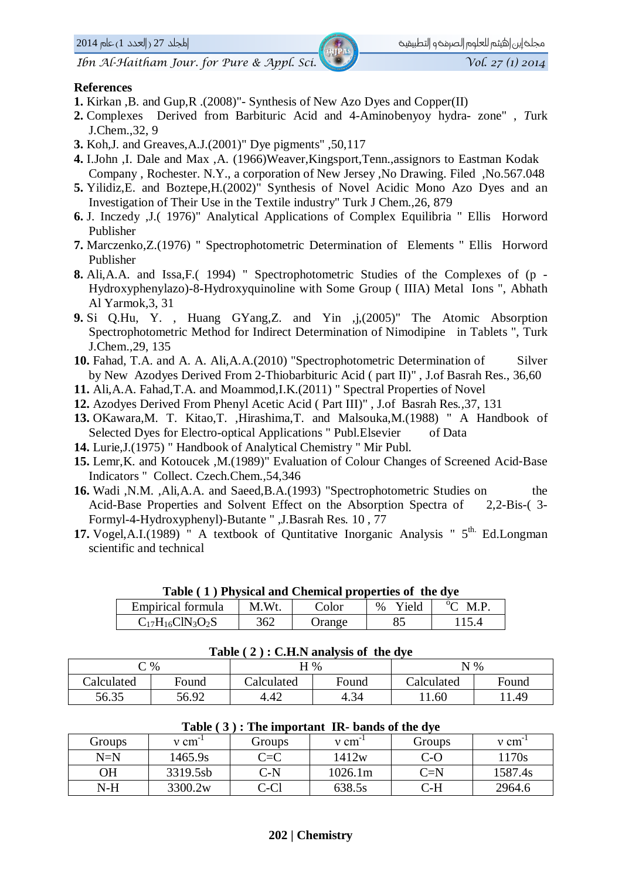2014@'b«@H1@ÖÜ»€a@I 27@Ü‹1a@@@@@@@@@@@@@@@@@@@@@@@@@@@@@@@@@@@@@@@@@@@@@@@@@@@@@@@@@@@@@@@@@@@@@@@@@@@@@@@@@@@ÚÓ'Ój�n€a@Î@Úœäñ€a@'Ï‹»‹€@·rÓ:a@Âig@Ú‹©

#### **References**

- **1.** Kirkan ,B. and Gup,R .(2008)"- Synthesis of New Azo Dyes and Copper(II)
- **2.** Complexes Derived from Barbituric Acid and 4-Aminobenyoy hydra- zone" , *T*urk J.Chem.,32, 9
- **3.** Koh,J. and Greaves,A.J.(2001)" Dye pigments" ,50,117
- **4.** I.John ,I. Dale and Max ,A. (1966)Weaver,Kingsport,Tenn.,assignors to Eastman Kodak Company , Rochester. N.Y., a corporation of New Jersey ,No Drawing. Filed ,No.567.048
- **5.** Yilidiz,E. and Boztepe,H.(2002)" Synthesis of Novel Acidic Mono Azo Dyes and an Investigation of Their Use in the Textile industry" Turk J Chem.*,*26, 879
- **6.** J. Inczedy ,J.( 1976)" Analytical Applications of Complex Equilibria " Ellis Horword Publisher
- **7.** Marczenko,Z.(1976) " Spectrophotometric Determination of Elements " Ellis Horword Publisher
- **8.** Ali,A.A. and Issa,F.( 1994) " Spectrophotometric Studies of the Complexes of (p Hydroxyphenylazo)-8-Hydroxyquinoline with Some Group ( IIIA) Metal Ions ", Abhath Al Yarmok*,*3, 31
- **9.** Si Q.Hu, Y. , Huang GYang,Z. and Yin ,j,(2005)" The Atomic Absorption Spectrophotometric Method for Indirect Determination of Nimodipine in Tablets ", Turk J.Chem.*,*29, 135
- **10.** Fahad, T.A. and A. A. Ali,A.A.(2010) "Spectrophotometric Determination of Silver by New Azodyes Derived From 2-Thiobarbituric Acid ( part II)" , J.of Basrah Res., 36,60
- **11.** Ali,A.A. Fahad,T.A. and Moammod,I.K.(2011) " Spectral Properties of Novel
- **12.** Azodyes Derived From Phenyl Acetic Acid ( Part III)" , J.of Basrah Res*.,*37, 131
- **13.** OKawara,M. T. Kitao,T. ,Hirashima,T. and Malsouka,M.(1988) " A Handbook of Selected Dyes for Electro-optical Applications " Publ.Elsevier of Data
- **14.** Lurie,J.(1975) " Handbook of Analytical Chemistry " Mir Publ.
- **15.** Lemr,K. and Kotoucek ,M.(1989)" Evaluation of Colour Changes of Screened Acid-Base Indicators " Collect. Czech.Chem.*,*54,346
- **16.** Wadi ,N.M. ,Ali,A.A. and Saeed,B.A.(1993) "Spectrophotometric Studies on the Acid-Base Properties and Solvent Effect on the Absorption Spectra of 2,2-Bis-( 3- Formyl-4-Hydroxyphenyl)-Butante " ,J.Basrah Res*.* 10 , 77
- **17.** Vogel, A.I. (1989) " A textbook of Quntitative Inorganic Analysis "  $5<sup>th</sup>$  Ed. Longman scientific and technical

| Table (1) Physical and Chemical properties of the dye |       |        |         |                   |  |  |
|-------------------------------------------------------|-------|--------|---------|-------------------|--|--|
| Empirical formula                                     | M.Wt. | Color  | % Yield | $^{\circ}$ C M.P. |  |  |
| $C_{17}H_{16}CIN_3O_2S$                               | 362   | Orange | 85      | 115.4             |  |  |

#### **Table ( 2 ) : C.H.N analysis of the dye**

|            | $\degree$ % | H %        |       | $N\%$      |       |
|------------|-------------|------------|-------|------------|-------|
| Calculated | Found       | Calculated | Found | Calculated | Found |
| 56.35      | 56.92       | 4.42       | 4.34  | 1.60       | 1.49  |

| Groups | $v \, \text{cm}$ | Groups | $v \, \text{cm}$ | Groups  | $v \text{ cm}$ |
|--------|------------------|--------|------------------|---------|----------------|
| $N=N$  | 1465.9s          | C=C    | 1412w            | C-0     | 1170s          |
| ЭH     | 3319.5sb         | C-N    | 1026.1m          | $C = N$ | 1587.4s        |
| $N-H$  | 3300.2w          | C-Cl   | 638.5s           | C-H     | 2964.6         |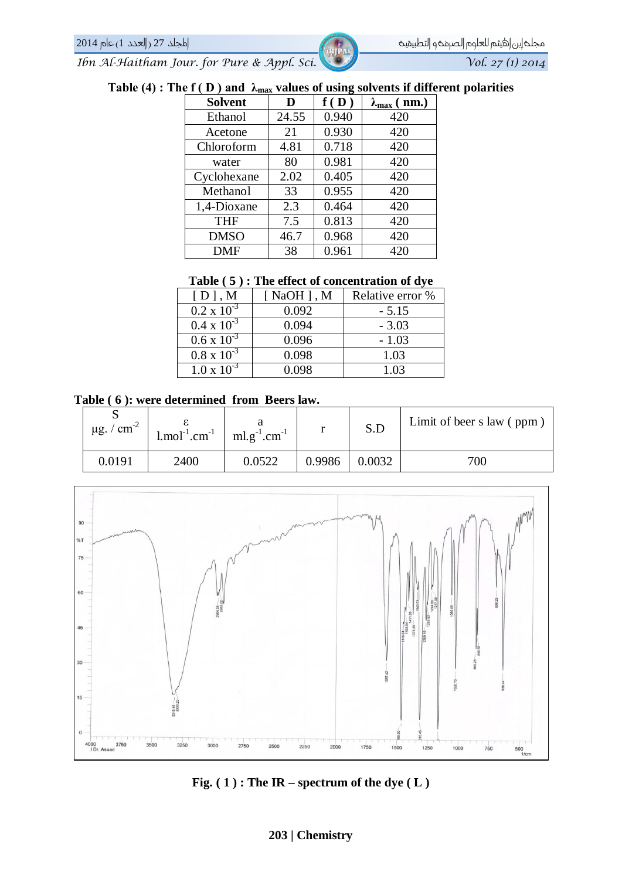## **Table (4) : The f ( D ) and λmax values of using solvents if different polarities**

| <b>Solvent</b> | D     | f(D)  | $\lambda_{\max}$ (nm.) |
|----------------|-------|-------|------------------------|
| Ethanol        | 24.55 | 0.940 | 420                    |
| Acetone        | 21    | 0.930 | 420                    |
| Chloroform     | 4.81  | 0.718 | 420                    |
| water          | 80    | 0.981 | 420                    |
| Cyclohexane    | 2.02  | 0.405 | 420                    |
| Methanol       | 33    | 0.955 | 420                    |
| 1,4-Dioxane    | 2.3   | 0.464 | 420                    |
| <b>THF</b>     | 7.5   | 0.813 | 420                    |
| <b>DMSO</b>    | 46.7  | 0.968 | 420                    |
| <b>DMF</b>     | 38    | 0.961 | 420                    |

#### **Table ( 5 ) : The effect of concentration of dye**

| $[D]$ , M            | $\lceil$ NaOH $\rceil$ , M | Relative error % |
|----------------------|----------------------------|------------------|
| $0.2 \times 10^{-3}$ | 0.092                      | $-5.15$          |
| $0.4 \times 10^{-3}$ | 0.094                      | $-3.03$          |
| $0.6 \times 10^{-3}$ | 0.096                      | $-1.03$          |
| $0.8 \times 10^{-3}$ | 0.098                      | 1.03             |
| $1.0 \times 10^{-3}$ | 0.098                      | 1.03             |

#### **Table ( 6 ): were determined from Beers law.**

| ື<br>$\mu$ g. / cm <sup>-2</sup> | $1 \text{.} \text{mol}^{-1} \text{.} \text{cm}^{-1}$ | $ml.g^{-1}.cm^{-1}$ |        | S.D    | Limit of beer s law (ppm) |
|----------------------------------|------------------------------------------------------|---------------------|--------|--------|---------------------------|
| 0.0191                           | 2400                                                 | 0.0522              | 0.9986 | 0.0032 | 700                       |



**Fig. ( 1 ) : The IR – spectrum of the dye ( L )**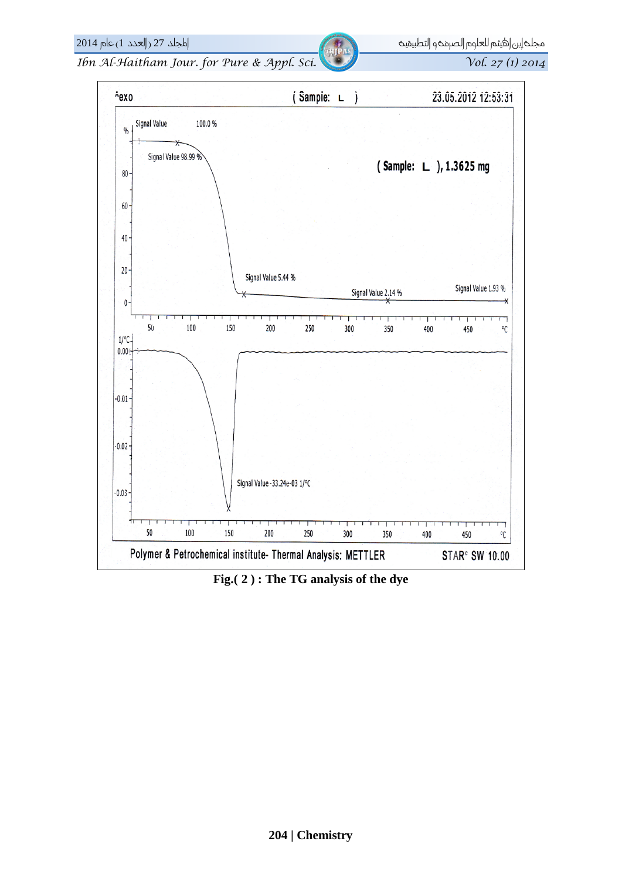Vol. 27 (1) 2014

Ibn Al-Haitham Jour. for Pure & Appl. Sci.

 $2014$  العدد 1) عام 2014  $(1 - 27)$ 



Fig. (2): The TG analysis of the dye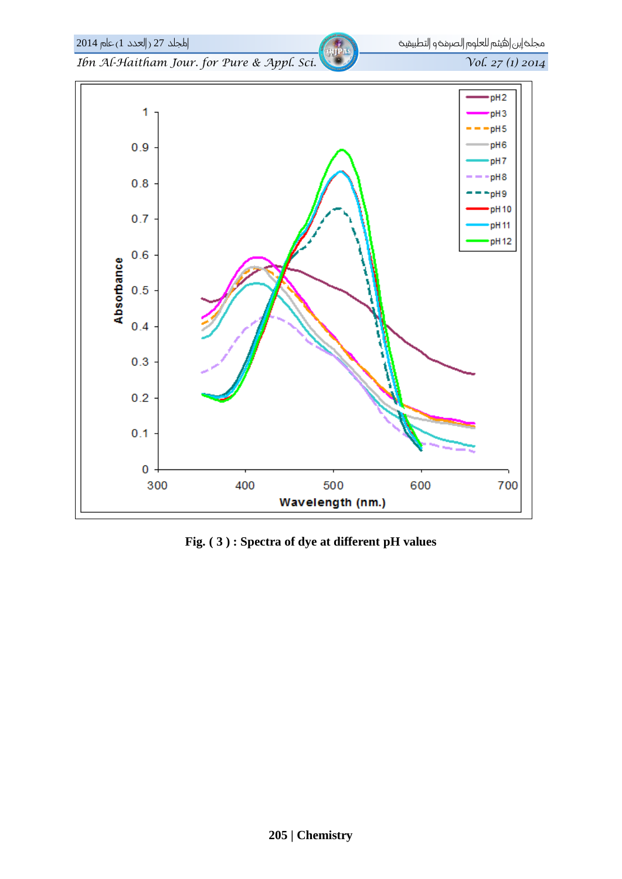

Fig. (3): Spectra of dye at different pH values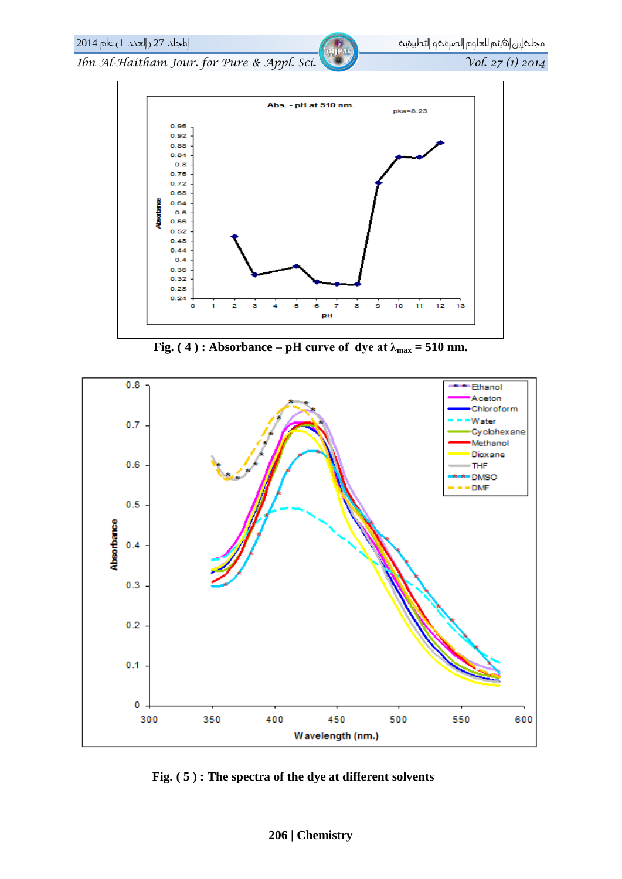

Fig. (4): Absorbance – pH curve of dye at  $\lambda_{\text{max}} = 510$  nm.



Fig. (5): The spectra of the dye at different solvents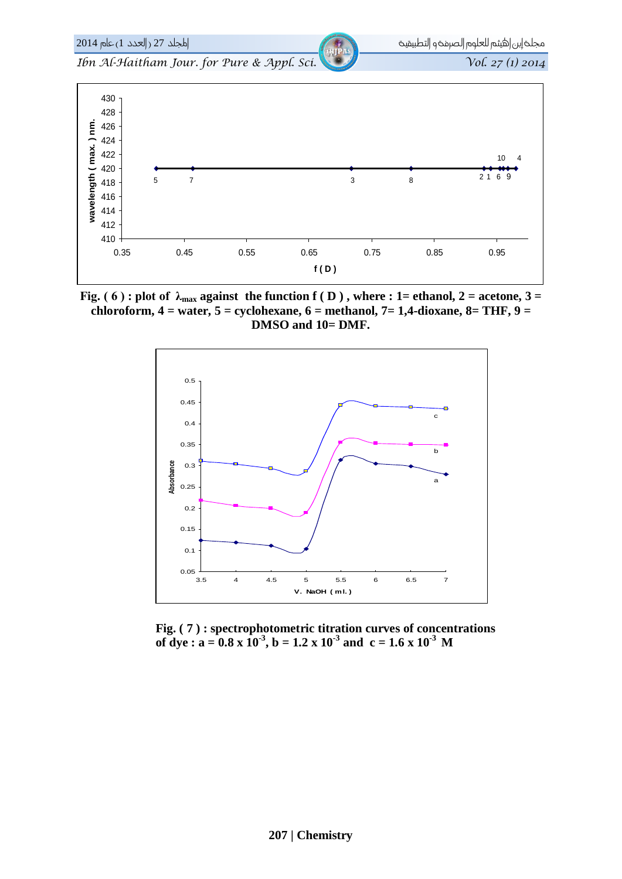

**Fig.** (6): plot of  $\lambda_{\text{max}}$  against the function f (D), where : 1= ethanol, 2 = acetone, 3 = **chloroform, 4 = water, 5 = cyclohexane, 6 = methanol, 7= 1,4-dioxane, 8= THF, 9 = DMSO and 10= DMF.**



 **Fig. ( 7 ) : spectrophotometric titration curves of concentrations of dye :**  $a = 0.8 \times 10^{-3}$ ,  $b = 1.2 \times 10^{-3}$  and  $c = 1.6 \times 10^{-3}$  M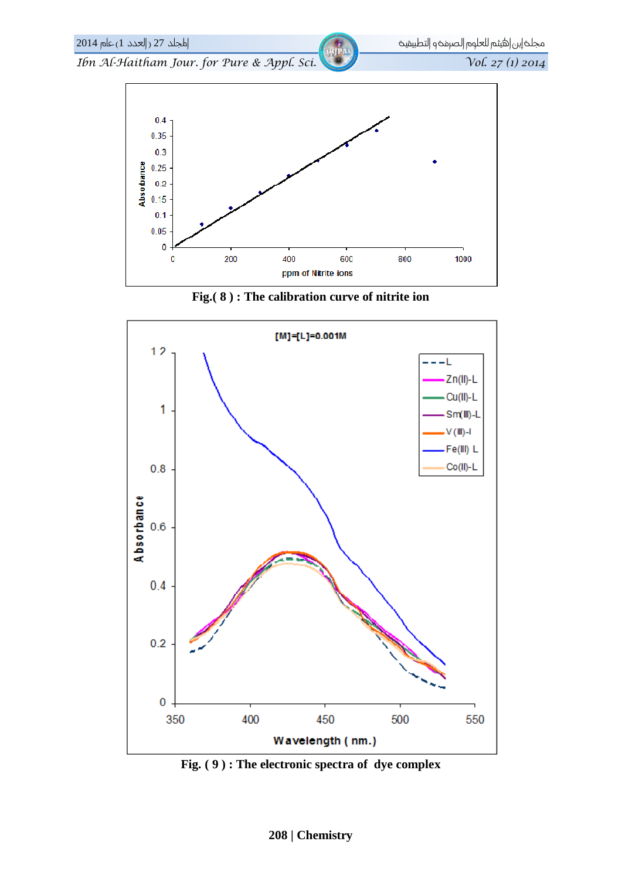

Fig. (8): The calibration curve of nitrite ion



Fig. (9): The electronic spectra of dye complex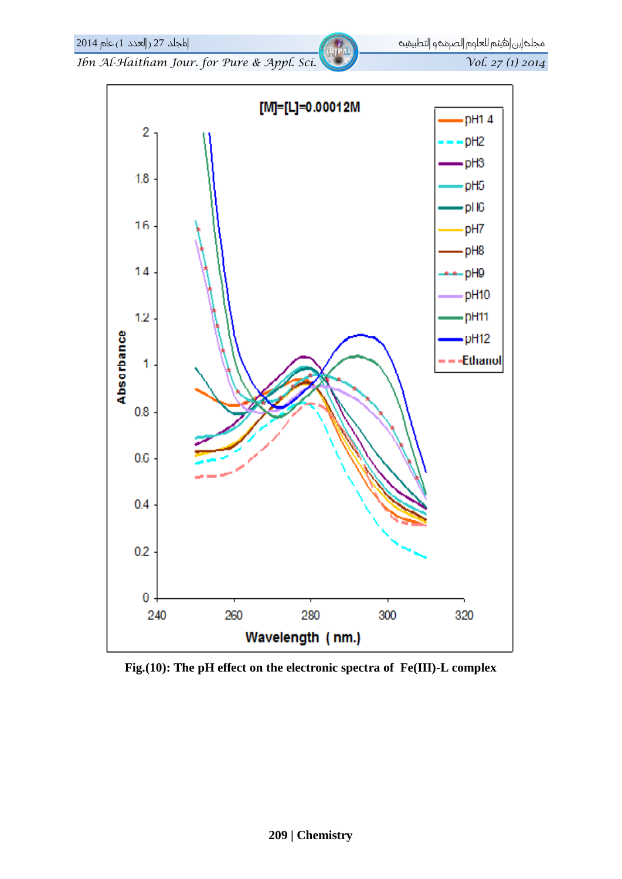Vol. 27 (1) 2014

Ibn Al-Haitham Jour. for Pure & Appl. Sci.

اطجلد 27 (العدد 1) عام 2014



Fig.  $(10)$ : The pH effect on the electronic spectra of Fe(III)-L complex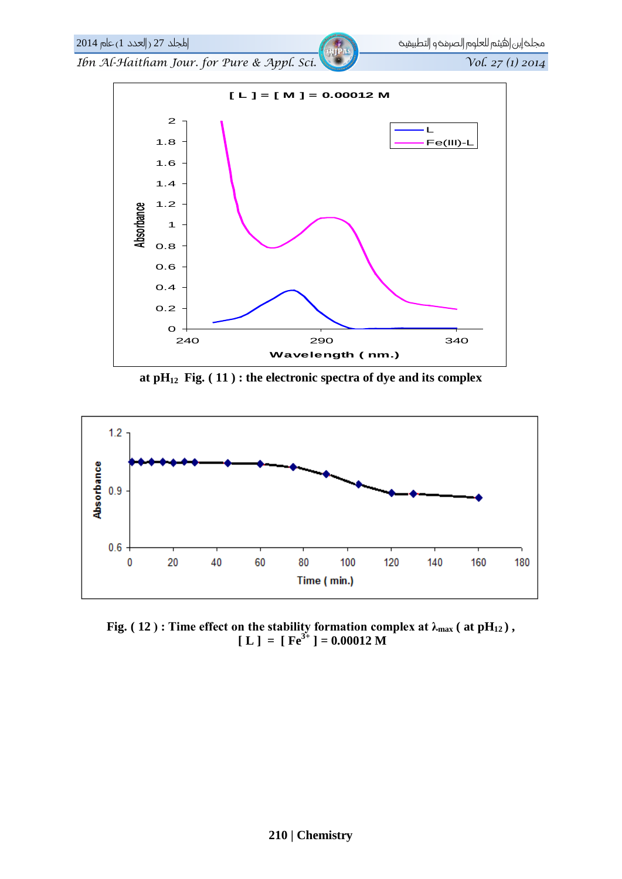



Fig. (12): Time effect on the stability formation complex at  $\lambda_{\text{max}}$  (at pH<sub>12</sub>),  $[L] = [Fe<sup>3+</sup>] = 0.00012 M$